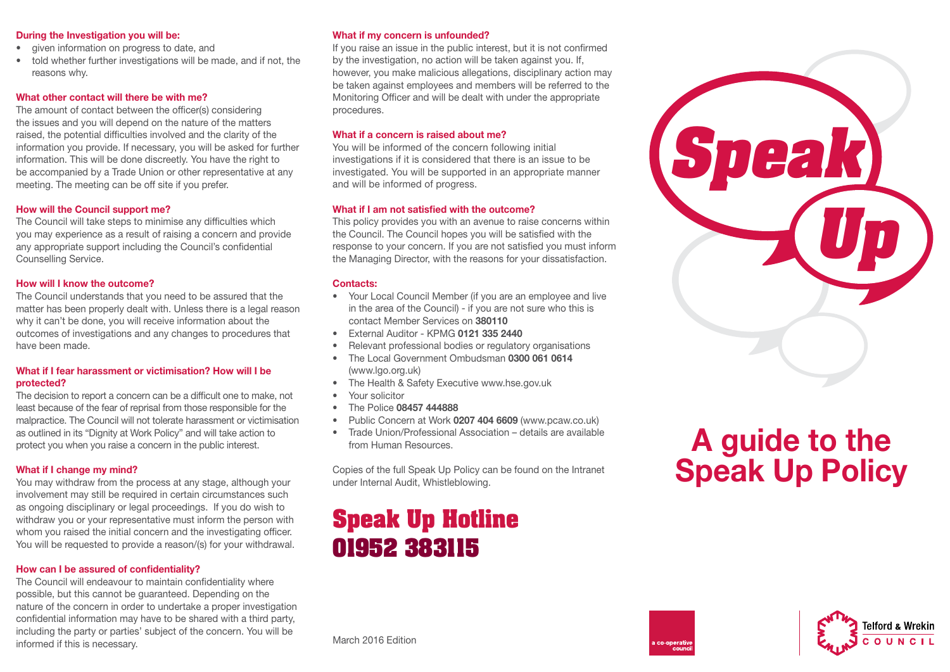#### During the Investigation you will be:

- given information on progress to date, and
- told whether further investigations will be made, and if not, the reasons why.

#### What other contact will there be with me?

The amount of contact between the officer(s) considering the issues and you will depend on the nature of the matters raised, the potential difficulties involved and the clarity of the information you provide. If necessary, you will be asked for further information. This will be done discreetly. You have the right to be accompanied by a Trade Union or other representative at any meeting. The meeting can be off site if you prefer.

# How will the Council support me?

The Council will take steps to minimise any difficulties which you may experience as a result of raising a concern and provide any appropriate support including the Council's confidential Counselling Service.

#### How will I know the outcome?

The Council understands that you need to be assured that the matter has been properly dealt with. Unless there is a legal reason why it can't be done, you will receive information about the outcomes of investigations and any changes to procedures that have been made.

#### What if I fear harassment or victimisation? How will I be protected?

The decision to report a concern can be a difficult one to make, not least because of the fear of reprisal from those responsible for the malpractice. The Council will not tolerate harassment or victimisation as outlined in its "Dignity at Work Policy" and will take action to protect you when you raise a concern in the public interest.

#### What if I change my mind?

You may withdraw from the process at any stage, although your involvement may still be required in certain circumstances such as ongoing disciplinary or legal proceedings. If you do wish to withdraw you or your representative must inform the person with whom you raised the initial concern and the investigating officer. You will be requested to provide a reason/(s) for your withdrawal.

# How can I be assured of confidentiality?

The Council will endeavour to maintain confidentiality where possible, but this cannot be guaranteed. Depending on the nature of the concern in order to undertake a proper investigation confidential information may have to be shared with a third party, including the party or parties' subject of the concern. You will be informed if this is necessary.

#### What if my concern is unfounded?

If you raise an issue in the public interest, but it is not confirmed by the investigation, no action will be taken against you. If, however, you make malicious allegations, disciplinary action may be taken against employees and members will be referred to the Monitoring Officer and will be dealt with under the appropriate procedures.

### What if a concern is raised about me?

You will be informed of the concern following initial investigations if it is considered that there is an issue to be investigated. You will be supported in an appropriate manner and will be informed of progress.

# What if I am not satisfied with the outcome?

This policy provides you with an avenue to raise concerns within the Council. The Council hopes you will be satisfied with the response to your concern. If you are not satisfied you must inform the Managing Director, with the reasons for your dissatisfaction.

# Contacts:

- Your Local Council Member (if you are an employee and live in the area of the Council) - if you are not sure who this is contact Member Services on 380110
- External Auditor KPMG 0121 335 2440
- Relevant professional bodies or regulatory organisations
- The Local Government Ombudsman 0300 061 0614 (www.lgo.org.uk)
- The Health & Safety Executive www.hse.gov.uk
- Your solicitor
- The Police 08457 444888
- Public Concern at Work 0207 404 6609 (www.pcaw.co.uk)
- Trade Union/Professional Association details are available from Human Resources.

Copies of the full Speak Up Policy can be found on the Intranet under Internal Audit, Whistleblowing.

# **Speak Up Hotline 01952 383115**

# **Speak Up**

# A guide to the Speak Up Policy